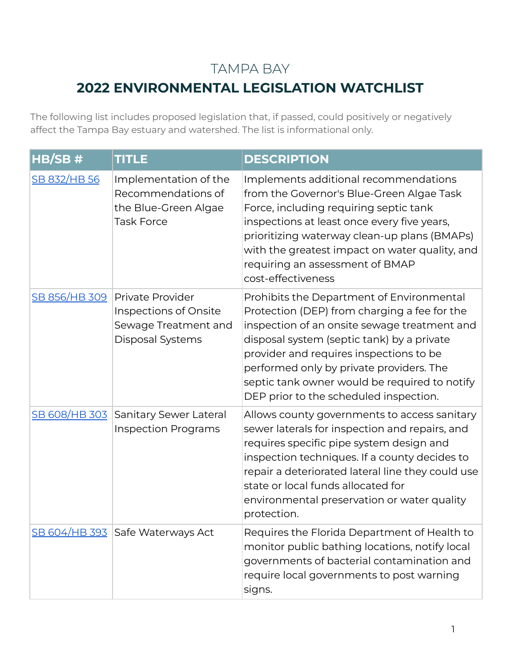## TAMPA BAY

## **2022 ENVIRONMENTAL LEGISLATION WATCHLIST**

The following list includes proposed legislation that, if passed, could positively or negatively affect the Tampa Bay estuary and watershed. The list is informational only.

| HB/SB #             | <b>TITLE</b>                                                                             | <b>DESCRIPTION</b>                                                                                                                                                                                                                                                                                                                                                        |
|---------------------|------------------------------------------------------------------------------------------|---------------------------------------------------------------------------------------------------------------------------------------------------------------------------------------------------------------------------------------------------------------------------------------------------------------------------------------------------------------------------|
| <u>SB 832/HB 56</u> | Implementation of the<br>Recommendations of<br>the Blue-Green Algae<br><b>Task Force</b> | Implements additional recommendations<br>from the Governor's Blue-Green Algae Task<br>Force, including requiring septic tank<br>inspections at least once every five years,<br>prioritizing waterway clean-up plans (BMAPs)<br>with the greatest impact on water quality, and<br>requiring an assessment of BMAP<br>cost-effectiveness                                    |
| SB 856/HB 309       | Private Provider<br>Inspections of Onsite<br>Sewage Treatment and<br>Disposal Systems    | Prohibits the Department of Environmental<br>Protection (DEP) from charging a fee for the<br>inspection of an onsite sewage treatment and<br>disposal system (septic tank) by a private<br>provider and requires inspections to be<br>performed only by private providers. The<br>septic tank owner would be required to notify<br>DEP prior to the scheduled inspection. |
|                     | SB 608/HB 303 Sanitary Sewer Lateral<br><b>Inspection Programs</b>                       | Allows county governments to access sanitary<br>sewer laterals for inspection and repairs, and<br>requires specific pipe system design and<br>inspection techniques. If a county decides to<br>repair a deteriorated lateral line they could use<br>state or local funds allocated for<br>environmental preservation or water quality<br>protection.                      |
|                     | SB 604/HB 393 Safe Waterways Act                                                         | Requires the Florida Department of Health to<br>monitor public bathing locations, notify local<br>governments of bacterial contamination and<br>require local governments to post warning<br>signs.                                                                                                                                                                       |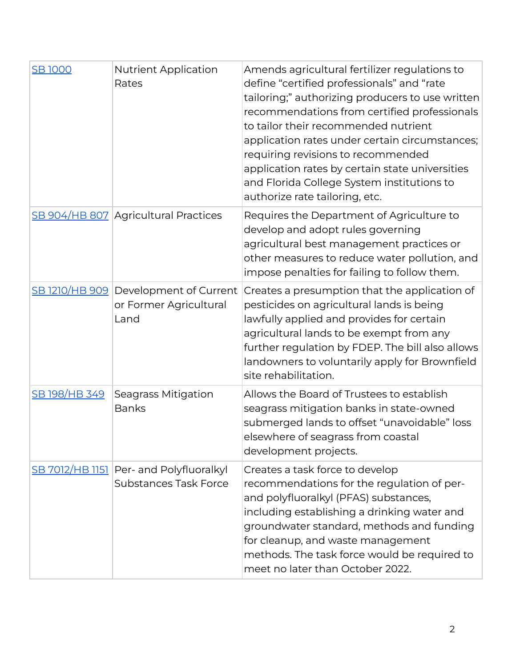| <b>SB1000</b>        | <b>Nutrient Application</b><br>Rates                                    | Amends agricultural fertilizer regulations to<br>define "certified professionals" and "rate<br>tailoring;" authorizing producers to use written<br>recommendations from certified professionals<br>to tailor their recommended nutrient<br>application rates under certain circumstances;<br>requiring revisions to recommended<br>application rates by certain state universities<br>and Florida College System institutions to<br>authorize rate tailoring, etc. |
|----------------------|-------------------------------------------------------------------------|--------------------------------------------------------------------------------------------------------------------------------------------------------------------------------------------------------------------------------------------------------------------------------------------------------------------------------------------------------------------------------------------------------------------------------------------------------------------|
|                      | <b>SB 904/HB 807 Agricultural Practices</b>                             | Requires the Department of Agriculture to<br>develop and adopt rules governing<br>agricultural best management practices or<br>other measures to reduce water pollution, and<br>impose penalties for failing to follow them.                                                                                                                                                                                                                                       |
|                      | SB 1210/HB 909 Development of Current<br>or Former Agricultural<br>Land | Creates a presumption that the application of<br>pesticides on agricultural lands is being<br>lawfully applied and provides for certain<br>agricultural lands to be exempt from any<br>further regulation by FDEP. The bill also allows<br>landowners to voluntarily apply for Brownfield<br>site rehabilitation.                                                                                                                                                  |
| <u>SB 198/HB 349</u> | <b>Seagrass Mitigation</b><br><b>Banks</b>                              | Allows the Board of Trustees to establish<br>seagrass mitigation banks in state-owned<br>submerged lands to offset "unavoidable" loss<br>elsewhere of seagrass from coastal<br>development projects.                                                                                                                                                                                                                                                               |
|                      | SB 7012/HB 1151 Per- and Polyfluoralkyl<br><b>Substances Task Force</b> | Creates a task force to develop<br>recommendations for the regulation of per-<br>and polyfluoralkyl (PFAS) substances,<br>including establishing a drinking water and<br>groundwater standard, methods and funding<br>for cleanup, and waste management<br>methods. The task force would be required to<br>meet no later than October 2022.                                                                                                                        |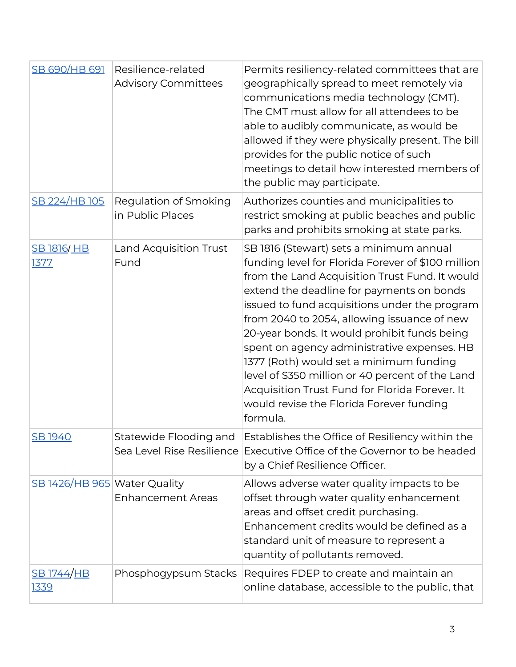| <b>SB 690/HB 691</b>             | Resilience-related<br><b>Advisory Committees</b> | Permits resiliency-related committees that are<br>geographically spread to meet remotely via<br>communications media technology (CMT).<br>The CMT must allow for all attendees to be<br>able to audibly communicate, as would be<br>allowed if they were physically present. The bill<br>provides for the public notice of such<br>meetings to detail how interested members of<br>the public may participate.                                                                                                                                                                                       |
|----------------------------------|--------------------------------------------------|------------------------------------------------------------------------------------------------------------------------------------------------------------------------------------------------------------------------------------------------------------------------------------------------------------------------------------------------------------------------------------------------------------------------------------------------------------------------------------------------------------------------------------------------------------------------------------------------------|
| <u>SB 224/HB 105</u>             | Regulation of Smoking<br>in Public Places        | Authorizes counties and municipalities to<br>restrict smoking at public beaches and public<br>parks and prohibits smoking at state parks.                                                                                                                                                                                                                                                                                                                                                                                                                                                            |
| <b>SB 1816/ HB</b><br>1377       | Land Acquisition Trust<br>Fund                   | SB 1816 (Stewart) sets a minimum annual<br>funding level for Florida Forever of \$100 million<br>from the Land Acquisition Trust Fund. It would<br>extend the deadline for payments on bonds<br>issued to fund acquisitions under the program<br>from 2040 to 2054, allowing issuance of new<br>20-year bonds. It would prohibit funds being<br>spent on agency administrative expenses. HB<br>1377 (Roth) would set a minimum funding<br>level of \$350 million or 40 percent of the Land<br>Acquisition Trust Fund for Florida Forever. It<br>would revise the Florida Forever funding<br>formula. |
| SB 1940                          | Statewide Flooding and                           | Establishes the Office of Resiliency within the<br>Sea Level Rise Resilience Executive Office of the Governor to be headed<br>by a Chief Resilience Officer.                                                                                                                                                                                                                                                                                                                                                                                                                                         |
| SB 1426/HB 965 Water Quality     | <b>Enhancement Areas</b>                         | Allows adverse water quality impacts to be<br>offset through water quality enhancement<br>areas and offset credit purchasing.<br>Enhancement credits would be defined as a<br>standard unit of measure to represent a<br>quantity of pollutants removed.                                                                                                                                                                                                                                                                                                                                             |
| <u>SB 1744/HB</u><br><u>1339</u> | Phosphogypsum Stacks                             | Requires FDEP to create and maintain an<br>online database, accessible to the public, that                                                                                                                                                                                                                                                                                                                                                                                                                                                                                                           |